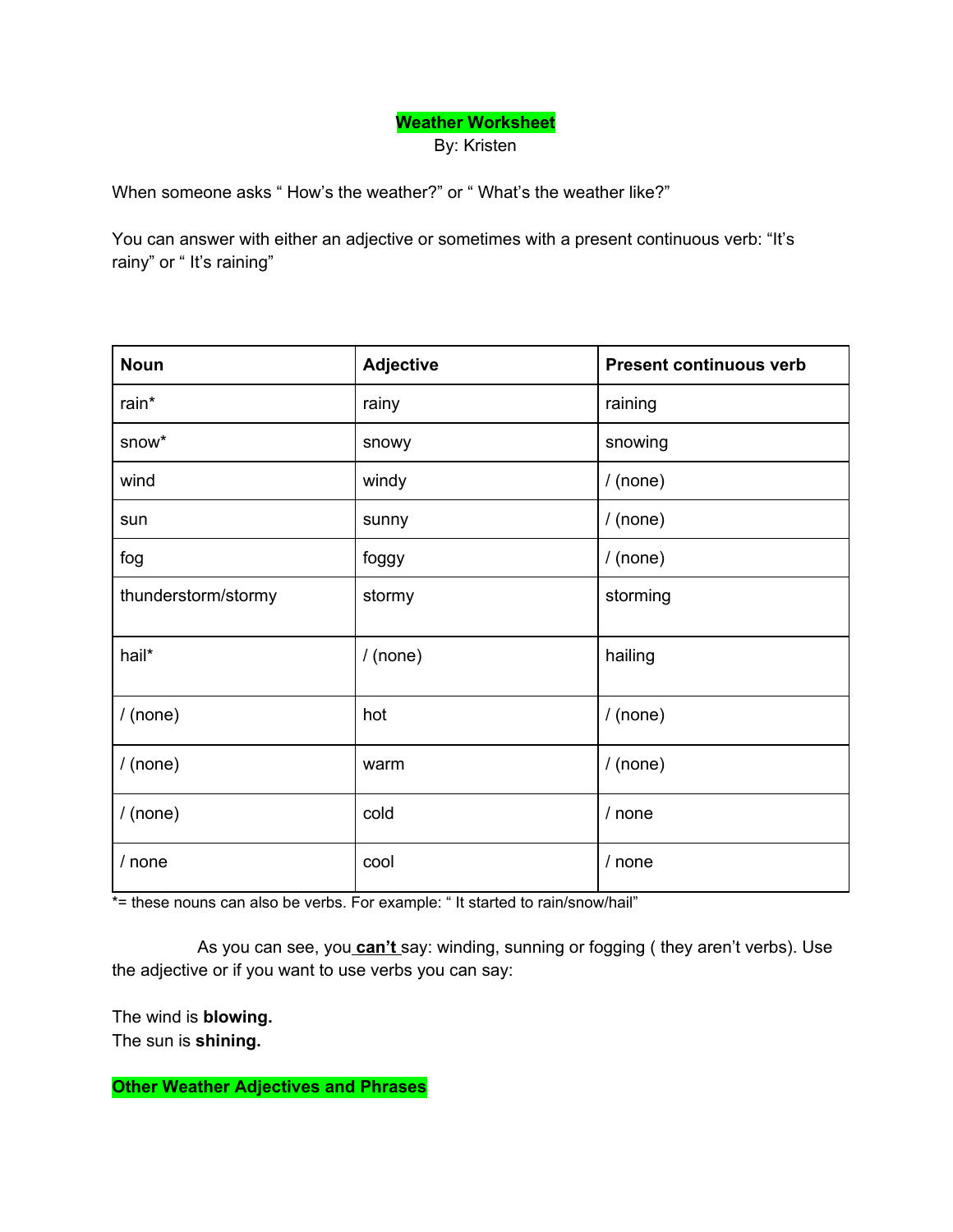## **Weather Worksheet** By: Kristen

When someone asks " How's the weather?" or " What's the weather like?"

You can answer with either an adjective or sometimes with a present continuous verb: "It's rainy" or "It's raining"

| <b>Noun</b>         | <b>Adjective</b> | <b>Present continuous verb</b> |
|---------------------|------------------|--------------------------------|
| rain*               | rainy            | raining                        |
| snow*               | snowy            | snowing                        |
| wind                | windy            | $/$ (none)                     |
| sun                 | sunny            | $/$ (none)                     |
| fog                 | foggy            | $/$ (none)                     |
| thunderstorm/stormy | stormy           | storming                       |
| hail*               | $/$ (none)       | hailing                        |
| $/$ (none)          | hot              | $/$ (none)                     |
| $/$ (none)          | warm             | $/$ (none)                     |
| $/$ (none)          | cold             | / none                         |
| / none              | cool             | / none                         |

\*= these nouns can also be verbs. For example: "It started to rain/snow/hail"

As you can see, you **can't** say: winding, sunning or fogging ( they aren't verbs). Use the adjective or if you want to use verbs you can say:

The wind is **blowing.** The sun is **shining.**

**Other Weather Adjectives and Phrases**